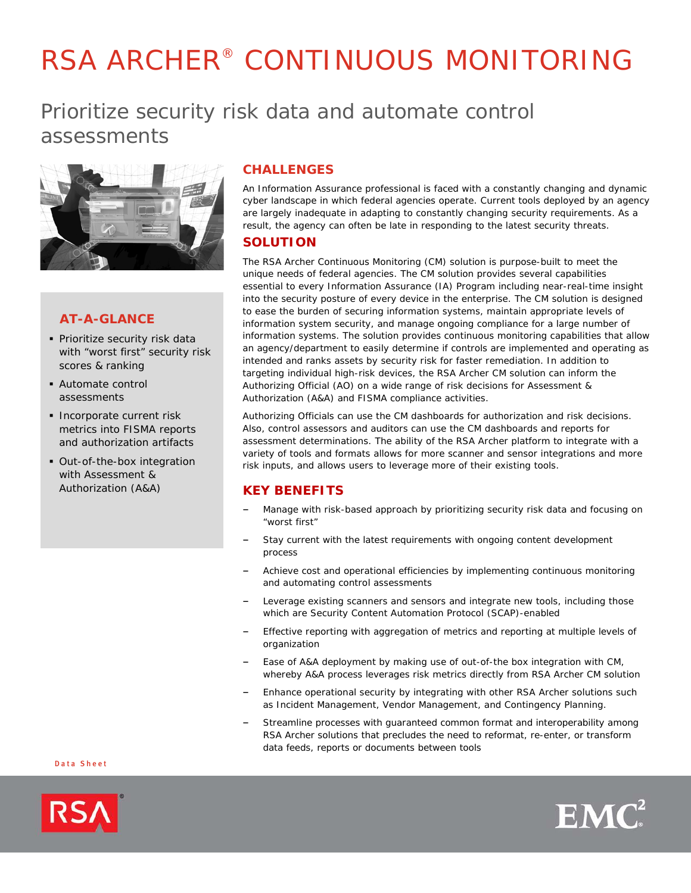# RSA ARCHER® CONTINUOUS MONITORING

# Prioritize security risk data and automate control assessments



# **AT-A-GLANCE**

- **Prioritize security risk data** with "worst first" security risk scores & ranking
- Automate control assessments
- **Incorporate current risk** metrics into FISMA reports and authorization artifacts
- Out-of-the-box integration with Assessment & Authorization (A&A)

# **CHALLENGES**

An Information Assurance professional is faced with a constantly changing and dynamic cyber landscape in which federal agencies operate. Current tools deployed by an agency are largely inadequate in adapting to constantly changing security requirements. As a result, the agency can often be late in responding to the latest security threats.

## **SOLUTION**

The RSA Archer Continuous Monitoring (CM) solution is purpose-built to meet the unique needs of federal agencies. The CM solution provides several capabilities essential to every Information Assurance (IA) Program including near-real-time insight into the security posture of every device in the enterprise. The CM solution is designed to ease the burden of securing information systems, maintain appropriate levels of information system security, and manage ongoing compliance for a large number of information systems. The solution provides continuous monitoring capabilities that allow an agency/department to easily determine if controls are implemented and operating as intended and ranks assets by security risk for faster remediation. In addition to targeting individual high-risk devices, the RSA Archer CM solution can inform the Authorizing Official (AO) on a wide range of risk decisions for Assessment & Authorization (A&A) and FISMA compliance activities.

Authorizing Officials can use the CM dashboards for authorization and risk decisions. Also, control assessors and auditors can use the CM dashboards and reports for assessment determinations. The ability of the RSA Archer platform to integrate with a variety of tools and formats allows for more scanner and sensor integrations and more risk inputs, and allows users to leverage more of their existing tools.

# **KEY BENEFITS**

- Manage with risk-based approach by prioritizing security risk data and focusing on "worst first"
- Stay current with the latest requirements with ongoing content development process
- Achieve cost and operational efficiencies by implementing continuous monitoring and automating control assessments
- Leverage existing scanners and sensors and integrate new tools, including those which are Security Content Automation Protocol (SCAP)-enabled
- Effective reporting with aggregation of metrics and reporting at multiple levels of organization
- Ease of A&A deployment by making use of out-of-the box integration with CM, whereby A&A process leverages risk metrics directly from RSA Archer CM solution
- Enhance operational security by integrating with other RSA Archer solutions such as Incident Management, Vendor Management, and Contingency Planning.
- Streamline processes with guaranteed common format and interoperability among RSA Archer solutions that precludes the need to reformat, re-enter, or transform data feeds, reports or documents between tools